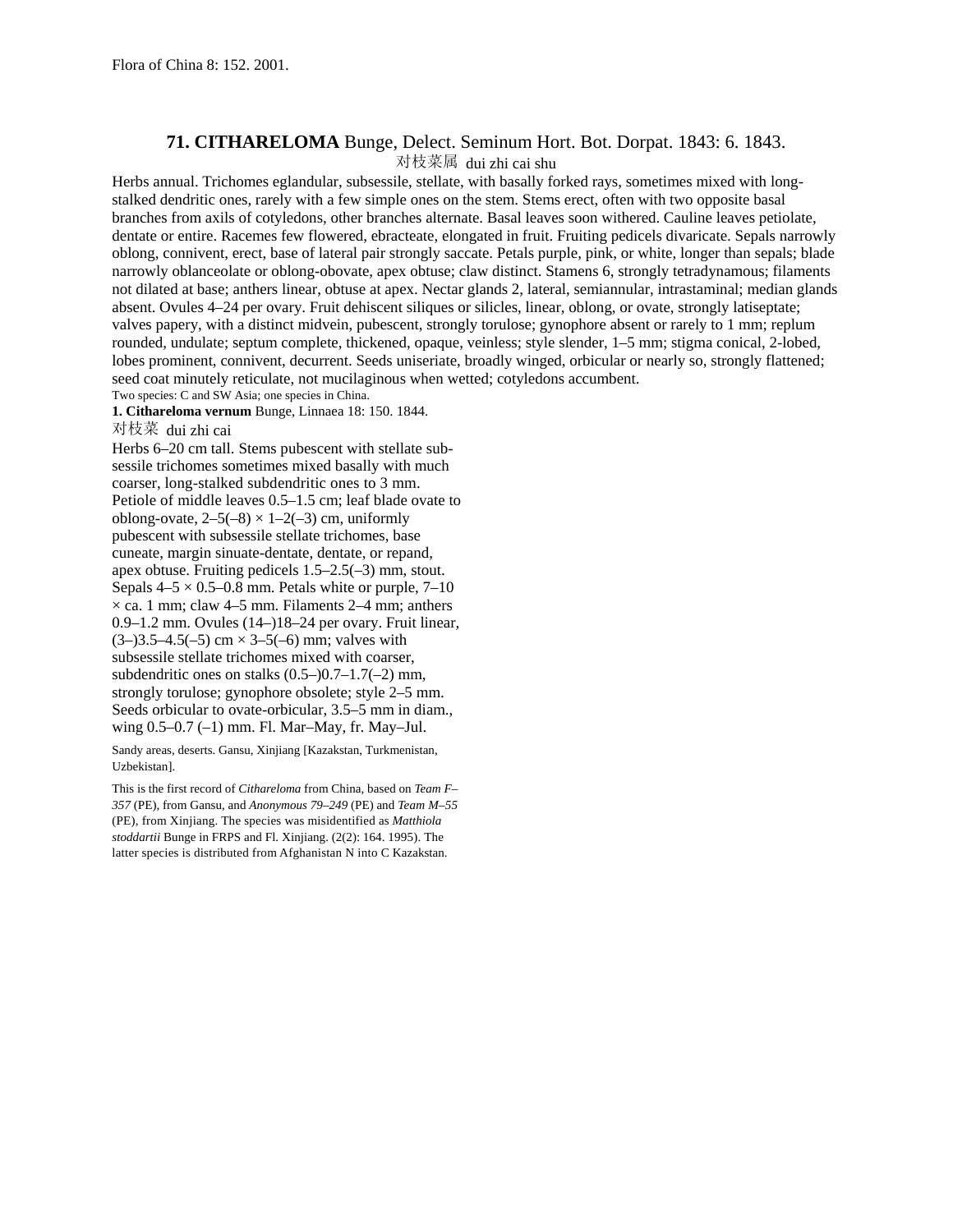## **71. CITHARELOMA** Bunge, Delect. Seminum Hort. Bot. Dorpat. 1843: 6. 1843. 对枝菜属 dui zhi cai shu

Herbs annual. Trichomes eglandular, subsessile, stellate, with basally forked rays, sometimes mixed with longstalked dendritic ones, rarely with a few simple ones on the stem. Stems erect, often with two opposite basal branches from axils of cotyledons, other branches alternate. Basal leaves soon withered. Cauline leaves petiolate, dentate or entire. Racemes few flowered, ebracteate, elongated in fruit. Fruiting pedicels divaricate. Sepals narrowly oblong, connivent, erect, base of lateral pair strongly saccate. Petals purple, pink, or white, longer than sepals; blade narrowly oblanceolate or oblong-obovate, apex obtuse; claw distinct. Stamens 6, strongly tetradynamous; filaments not dilated at base; anthers linear, obtuse at apex. Nectar glands 2, lateral, semiannular, intrastaminal; median glands absent. Ovules 4–24 per ovary. Fruit dehiscent siliques or silicles, linear, oblong, or ovate, strongly latiseptate; valves papery, with a distinct midvein, pubescent, strongly torulose; gynophore absent or rarely to 1 mm; replum rounded, undulate; septum complete, thickened, opaque, veinless; style slender, 1–5 mm; stigma conical, 2-lobed, lobes prominent, connivent, decurrent. Seeds uniseriate, broadly winged, orbicular or nearly so, strongly flattened; seed coat minutely reticulate, not mucilaginous when wetted; cotyledons accumbent.

Two species: C and SW Asia; one species in China. **1. Cithareloma vernum** Bunge, Linnaea 18: 150. 1844.

## 对枝菜 dui zhi cai

Herbs 6–20 cm tall. Stems pubescent with stellate subsessile trichomes sometimes mixed basally with much coarser, long-stalked subdendritic ones to 3 mm. Petiole of middle leaves 0.5–1.5 cm; leaf blade ovate to oblong-ovate,  $2-5(-8) \times 1-2(-3)$  cm, uniformly pubescent with subsessile stellate trichomes, base cuneate, margin sinuate-dentate, dentate, or repand, apex obtuse. Fruiting pedicels 1.5–2.5(–3) mm, stout. Sepals  $4-5 \times 0.5-0.8$  mm. Petals white or purple,  $7-10$  $\times$  ca. 1 mm; claw 4–5 mm. Filaments 2–4 mm; anthers 0.9–1.2 mm. Ovules (14–)18–24 per ovary. Fruit linear,  $(3-)3.5-4.5(-5)$  cm  $\times$  3-5(-6) mm; valves with subsessile stellate trichomes mixed with coarser, subdendritic ones on stalks (0.5–)0.7–1.7(–2) mm, strongly torulose; gynophore obsolete; style 2–5 mm. Seeds orbicular to ovate-orbicular, 3.5–5 mm in diam., wing 0.5–0.7 (–1) mm. Fl. Mar–May, fr. May–Jul.

Sandy areas, deserts. Gansu, Xinjiang [Kazakstan, Turkmenistan, Uzbekistan].

This is the first record of *Cithareloma* from China, based on *Team F– 357* (PE), from Gansu, and *Anonymous 79–249* (PE) and *Team M–55* (PE), from Xinjiang. The species was misidentified as *Matthiola stoddartii* Bunge in FRPS and Fl. Xinjiang. (2(2): 164. 1995). The latter species is distributed from Afghanistan N into C Kazakstan.